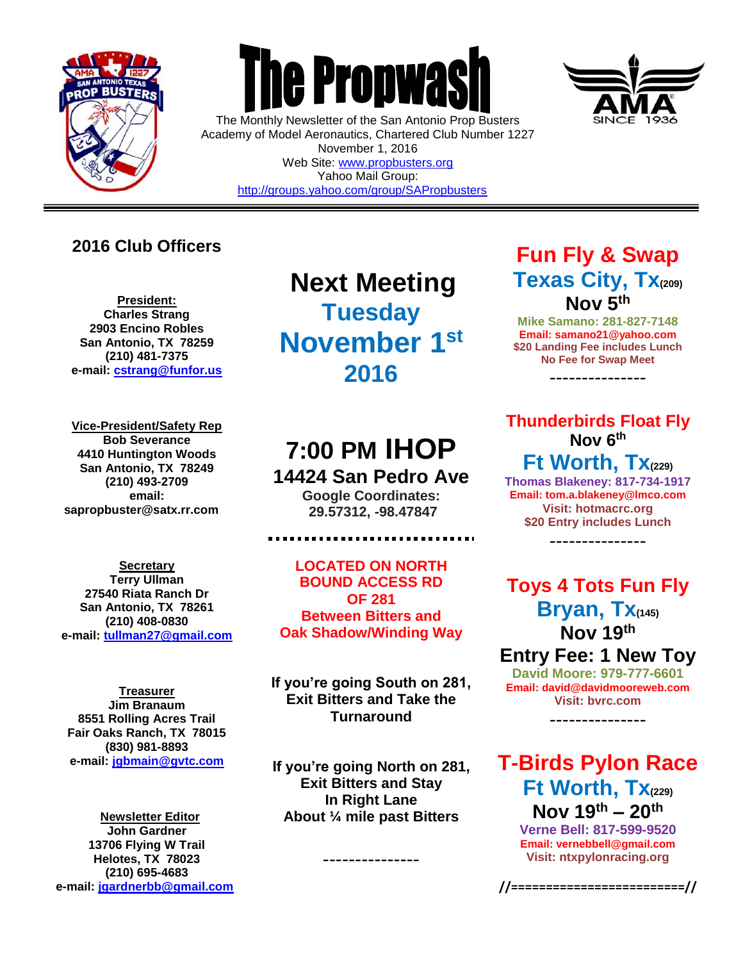

 $\overline{a}$ 



The Monthly Newsletter of the San Antonio Prop Busters Academy of Model Aeronautics, Chartered Club Number 1227 November 1, 2016 Web Site: [www.propbusters.org](http://www.propbusters.org/) Yahoo Mail Group: <http://groups.yahoo.com/group/SAPropbusters>

## **2016 Club Officers**

**President: Charles Strang 2903 Encino Robles San Antonio, TX 78259 (210) 481-7375 e-mail: [cstrang@funfor.us](mailto:cstrang@funfor.us)**

**Vice-President/Safety Rep Bob Severance 4410 Huntington Woods San Antonio, TX 78249 (210) 493-2709 email: sapropbuster@satx.rr.com**

**Secretary Terry Ullman 27540 Riata Ranch Dr San Antonio, TX 78261 (210) 408-0830 e-mail: [tullman27@gmail.com](mailto:tullman27@gmail.com)**

**Treasurer Jim Branaum 8551 Rolling Acres Trail Fair Oaks Ranch, TX 78015 (830) 981-8893 e-mail: [jgbmain@gvtc.com](mailto:jgbmain@gvtc.com)**

**Newsletter Editor John Gardner 13706 Flying W Trail Helotes, TX 78023 (210) 695-4683 e-mail: [jgardnerbb@gmail.com](mailto:jgardnerbb@gmail.com)**

**Next Meeting Tuesday November 1st 2016**

# **7:00 PM IHOP 14424 San Pedro Ave**

**Google Coordinates: 29.57312, -98.47847**

.............................

**LOCATED ON NORTH BOUND ACCESS RD OF 281 Between Bitters and Oak Shadow/Winding Way**

**If you're going South on 281, Exit Bitters and Take the Turnaround**

**If you're going North on 281, Exit Bitters and Stay In Right Lane About ¼ mile past Bitters**

---------------

# **Fun Fly & Swap Texas City, Tx(209) Nov 5th**

**Mike Samano: 281-827-7148 Email: samano21@yahoo.com \$20 Landing Fee includes Lunch No Fee for Swap Meet**

---------------

**Thunderbirds Float Fly Nov 6th**

**Ft Worth, Tx(229) Thomas Blakeney: 817-734-1917 Email: tom.a.blakeney@lmco.com Visit: hotmacrc.org \$20 Entry includes Lunch**

---------------

**Toys 4 Tots Fun Fly Bryan, Tx(145) Nov 19th Entry Fee: 1 New Toy**

**David Moore: 979-777-6601 Email: david@davidmooreweb.com Visit: bvrc.com**

---------------

**T-Birds Pylon Race Ft Worth, Tx(229) Nov 19th – 20th**

**Verne Bell: 817-599-9520 Email: vernebbell@gmail.com Visit: ntxpylonracing.org**

**//=========================//**

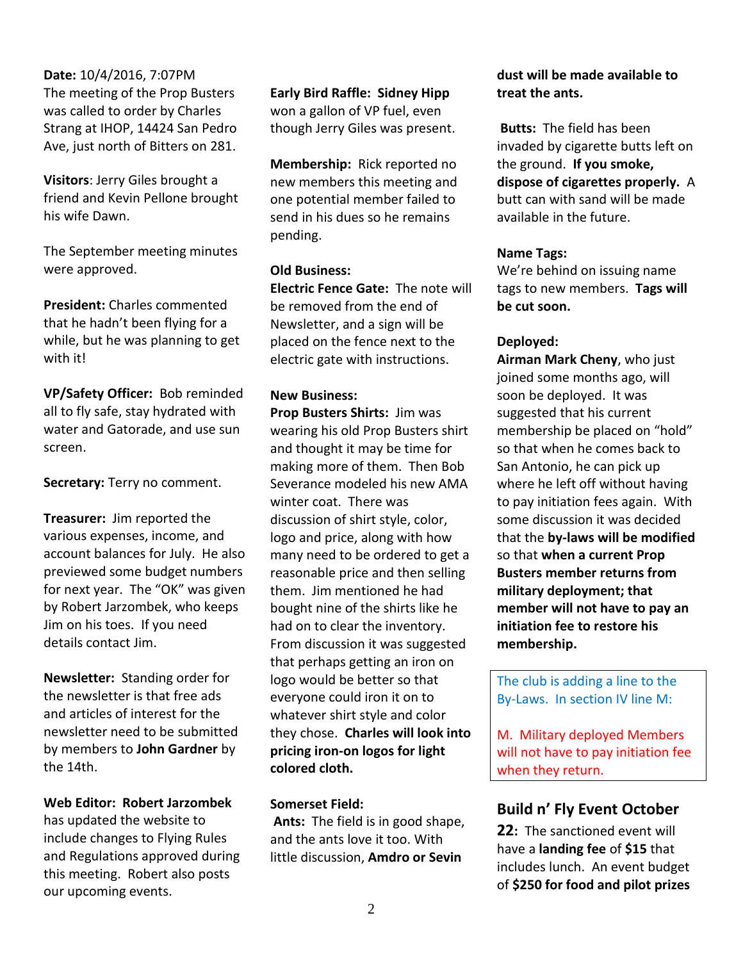**Date:** 10/4/2016, 7:07PM The meeting of the Prop Busters was called to order by Charles Strang at IHOP, 14424 San Pedro Ave, just north of Bitters on 281.

**Visitors**: Jerry Giles brought a friend and Kevin Pellone brought his wife Dawn.

The September meeting minutes were approved.

**President:** Charles commented that he hadn't been flying for a while, but he was planning to get with it!

**VP/Safety Officer:** Bob reminded all to fly safe, stay hydrated with water and Gatorade, and use sun screen.

**Secretary:** Terry no comment.

**Treasurer:** Jim reported the various expenses, income, and account balances for July. He also previewed some budget numbers for next year. The "OK" was given by Robert Jarzombek, who keeps Jim on his toes. If you need details contact Jim.

**Newsletter:** Standing order for the newsletter is that free ads and articles of interest for the newsletter need to be submitted by members to **John Gardner** by the 14th.

**Web Editor: Robert Jarzombek** 

has updated the website to include changes to Flying Rules and Regulations approved during this meeting. Robert also posts our upcoming events.

**Early Bird Raffle: Sidney Hipp** won a gallon of VP fuel, even though Jerry Giles was present.

**Membership:** Rick reported no new members this meeting and one potential member failed to send in his dues so he remains pending.

#### **Old Business:**

**Electric Fence Gate:** The note will be removed from the end of Newsletter, and a sign will be placed on the fence next to the electric gate with instructions.

#### **New Business:**

**Prop Busters Shirts:** Jim was wearing his old Prop Busters shirt and thought it may be time for making more of them. Then Bob Severance modeled his new AMA winter coat. There was discussion of shirt style, color, logo and price, along with how many need to be ordered to get a reasonable price and then selling them. Jim mentioned he had bought nine of the shirts like he had on to clear the inventory. From discussion it was suggested that perhaps getting an iron on logo would be better so that everyone could iron it on to whatever shirt style and color they chose. **Charles will look into pricing iron-on logos for light colored cloth.**

#### **Somerset Field:**

**Ants:** The field is in good shape, and the ants love it too. With little discussion, **Amdro or Sevin** 

#### **dust will be made available to treat the ants.**

**Butts:** The field has been invaded by cigarette butts left on the ground. **If you smoke, dispose of cigarettes properly.** A butt can with sand will be made available in the future.

#### **Name Tags:**

We're behind on issuing name tags to new members. **Tags will be cut soon.**

#### **Deployed:**

**Airman Mark Cheny**, who just joined some months ago, will soon be deployed. It was suggested that his current membership be placed on "hold" so that when he comes back to San Antonio, he can pick up where he left off without having to pay initiation fees again. With some discussion it was decided that the **by-laws will be modified** so that **when a current Prop Busters member returns from military deployment; that member will not have to pay an initiation fee to restore his membership.**

The club is adding a line to the By-Laws. In section IV line M:

M. Military deployed Members will not have to pay initiation fee when they return.

### **Build n' Fly Event October**

**22:** The sanctioned event will have a **landing fee** of **\$15** that includes lunch. An event budget of **\$250 for food and pilot prizes**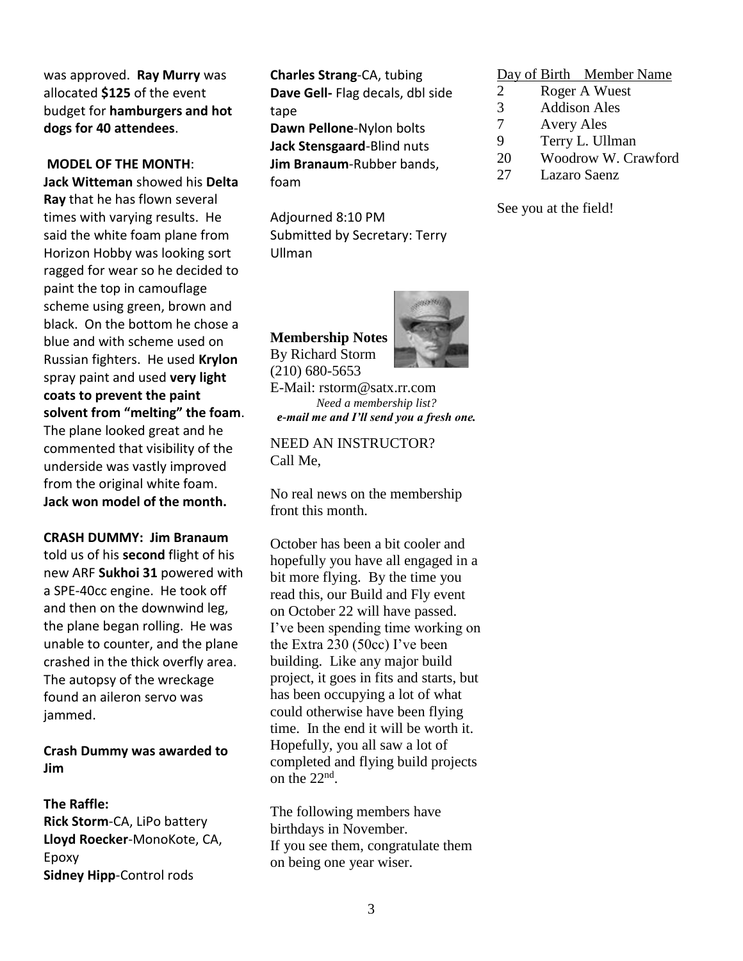was approved. **Ray Murry** was allocated **\$125** of the event budget for **hamburgers and hot dogs for 40 attendees**.

#### **MODEL OF THE MONTH**:

**Jack Witteman** showed his **Delta Ray** that he has flown several times with varying results. He said the white foam plane from Horizon Hobby was looking sort ragged for wear so he decided to paint the top in camouflage scheme using green, brown and black. On the bottom he chose a blue and with scheme used on Russian fighters. He used **Krylon** spray paint and used **very light coats to prevent the paint solvent from "melting" the foam**. The plane looked great and he commented that visibility of the underside was vastly improved from the original white foam. **Jack won model of the month.**

**CRASH DUMMY: Jim Branaum**  told us of his **second** flight of his new ARF **Sukhoi 31** powered with a SPE-40cc engine. He took off and then on the downwind leg, the plane began rolling. He was unable to counter, and the plane crashed in the thick overfly area. The autopsy of the wreckage found an aileron servo was jammed.

**Crash Dummy was awarded to Jim** 

#### **The Raffle: Rick Storm**-CA, LiPo battery **Lloyd Roecker**-MonoKote, CA, Epoxy **Sidney Hipp**-Control rods

**Charles Strang**-CA, tubing **Dave Gell-** Flag decals, dbl side tape

**Dawn Pellone**-Nylon bolts **Jack Stensgaard**-Blind nuts **Jim Branaum**-Rubber bands, foam

Adjourned 8:10 PM Submitted by Secretary: Terry Ullman

**Membership Notes** By Richard Storm (210) 680-5653



E-Mail: rstorm@satx.rr.com *Need a membership list? e-mail me and I'll send you a fresh one.*

NEED AN INSTRUCTOR? Call Me,

No real news on the membership front this month.

October has been a bit cooler and hopefully you have all engaged in a bit more flying. By the time you read this, our Build and Fly event on October 22 will have passed. I've been spending time working on the Extra 230 (50cc) I've been building. Like any major build project, it goes in fits and starts, but has been occupying a lot of what could otherwise have been flying time. In the end it will be worth it. Hopefully, you all saw a lot of completed and flying build projects on the  $22<sup>nd</sup>$ .

The following members have birthdays in November. If you see them, congratulate them on being one year wiser.

#### Day of Birth Member Name

- 2 Roger A Wuest
- 3 Addison Ales
- 7 Avery Ales
- 9 Terry L. Ullman
- 20 Woodrow W. Crawford
- 27 Lazaro Saenz

See you at the field!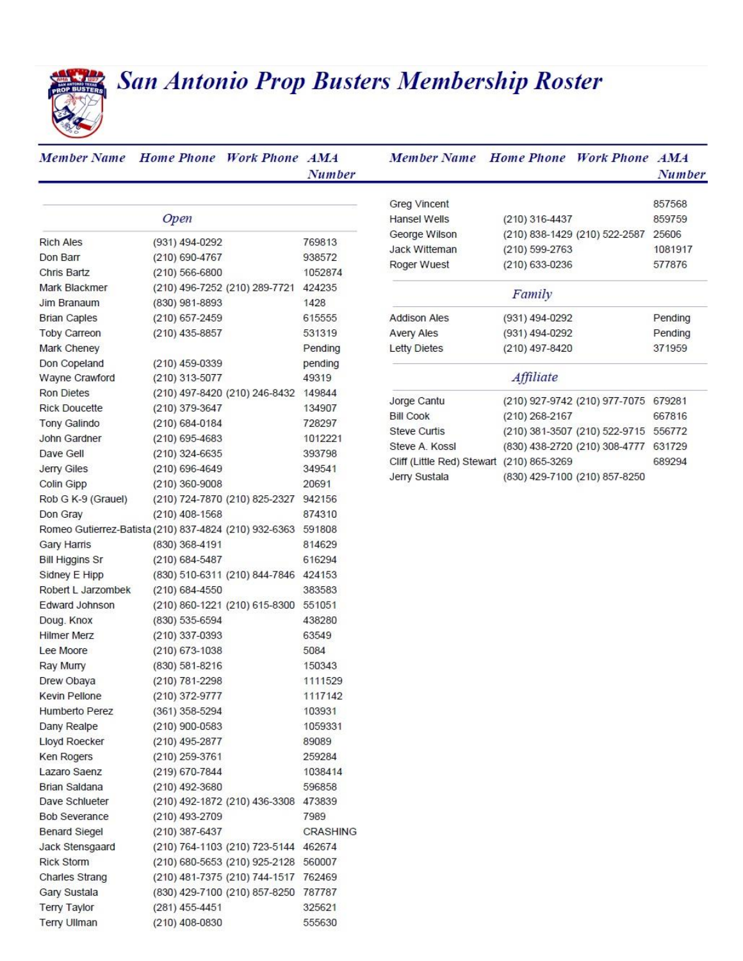# **San Antonio Prop Busters Membership Roster**

| <b>Member Name</b>                                    |                    | Home Phone Work Phone AMA            |                 |
|-------------------------------------------------------|--------------------|--------------------------------------|-----------------|
|                                                       |                    |                                      | Number          |
|                                                       |                    |                                      |                 |
|                                                       | Open               |                                      |                 |
| <b>Rich Ales</b>                                      | (931) 494-0292     |                                      | 769813          |
| Don Barr                                              | (210) 690-4767     |                                      | 938572          |
| Chris Bartz                                           | $(210) 566 - 6800$ |                                      | 1052874         |
| Mark Blackmer                                         |                    | (210) 496-7252 (210) 289-7721 424235 |                 |
| Jim Branaum                                           | (830) 981-8893     |                                      | 1428            |
| <b>Brian Caples</b>                                   | (210) 657-2459     |                                      | 615555          |
| <b>Toby Carreon</b>                                   | $(210)$ 435-8857   |                                      | 531319          |
| Mark Cheney                                           |                    |                                      | Pending         |
| Don Copeland                                          | (210) 459-0339     |                                      | pending         |
| Wayne Crawford                                        | (210) 313-5077     |                                      | 49319           |
| <b>Ron Dietes</b>                                     |                    | (210) 497-8420 (210) 246-8432 149844 |                 |
| <b>Rick Doucette</b>                                  | (210) 379-3647     |                                      | 134907          |
| Tony Galindo                                          | (210) 684-0184     |                                      | 728297          |
| John Gardner                                          | $(210)$ 695-4683   |                                      | 1012221         |
| Dave Gell                                             | $(210)$ 324-6635   |                                      | 393798          |
| Jerry Giles                                           | $(210)$ 696-4649   |                                      | 349541          |
| Colin Gipp                                            | $(210)$ 360-9008   |                                      | 20691           |
| Rob G K-9 (Grauel)                                    |                    | (210) 724-7870 (210) 825-2327        | 942156          |
| Don Gray                                              | $(210)$ 408-1568   |                                      | 874310          |
| Romeo Gutierrez-Batista (210) 837-4824 (210) 932-6363 |                    |                                      | 591808          |
| <b>Gary Harris</b>                                    | (830) 368-4191     |                                      | 814629          |
| <b>Bill Higgins Sr</b>                                | (210) 684-5487     |                                      | 616294          |
| Sidney E Hipp                                         |                    | (830) 510-6311 (210) 844-7846        | 424153          |
| Robert L Jarzombek                                    | (210) 684-4550     |                                      | 383583          |
| Edward Johnson                                        |                    | (210) 860-1221 (210) 615-8300 551051 |                 |
| Doug. Knox                                            | (830) 535-6594     |                                      | 438280          |
| <b>Hilmer Merz</b>                                    | (210) 337-0393     |                                      | 63549           |
| Lee Moore                                             | (210) 673-1038     |                                      | 5084            |
| Ray Murry                                             | (830) 581-8216     |                                      | 150343          |
| Drew Obaya                                            | (210) 781-2298     |                                      | 1111529         |
| <b>Kevin Pellone</b>                                  | (210) 372-9777     |                                      | 1117142         |
| Humberto Perez                                        | (361) 358-5294     |                                      | 103931          |
| Dany Realpe                                           | (210) 900-0583     |                                      | 1059331         |
| Lloyd Roecker                                         | (210) 495-2877     |                                      | 89089           |
| Ken Rogers                                            | (210) 259-3761     |                                      | 259284          |
| Lazaro Saenz                                          | (219) 670-7844     |                                      | 1038414         |
| <b>Brian Saldana</b>                                  | (210) 492-3680     |                                      | 596858          |
| Dave Schlueter                                        |                    | (210) 492-1872 (210) 436-3308        | 473839          |
| <b>Bob Severance</b>                                  | (210) 493-2709     |                                      | 7989            |
| <b>Benard Siegel</b>                                  | (210) 387-6437     |                                      | <b>CRASHING</b> |
| Jack Stensgaard                                       |                    | (210) 764-1103 (210) 723-5144 462674 |                 |
| <b>Rick Storm</b>                                     |                    | (210) 680-5653 (210) 925-2128        | 560007          |
| Charles Strang                                        |                    | (210) 481-7375 (210) 744-1517        | 762469          |
| Gary Sustala                                          |                    | (830) 429-7100 (210) 857-8250        | 787787          |
| Terry Taylor                                          | (281) 455-4451     |                                      | 325621          |
| Terry Ullman                                          | (210) 408-0830     |                                      | 555630          |

| <b>Member Name</b> Home Phone             |                  | <b>Work Phone AMA</b>         | <b>Number</b> |
|-------------------------------------------|------------------|-------------------------------|---------------|
| <b>Greg Vincent</b>                       |                  |                               | 857568        |
| Hansel Wells                              | $(210)$ 316-4437 |                               | 859759        |
| George Wilson                             |                  | (210) 838-1429 (210) 522-2587 | 25606         |
| Jack Witteman                             | (210) 599-2763   |                               | 1081917       |
| Roger Wuest                               | (210) 633-0236   |                               | 577876        |
|                                           | Family           |                               |               |
| <b>Addison Ales</b>                       | (931) 494-0292   |                               | Pending       |
| <b>Avery Ales</b>                         | (931) 494-0292   |                               | Pending       |
| <b>Letty Dietes</b>                       | (210) 497-8420   |                               | 371959        |
|                                           | Affiliate        |                               |               |
| Jorge Cantu                               |                  | (210) 927-9742 (210) 977-7075 | 679281        |
| <b>Bill Cook</b>                          | (210) 268-2167   |                               | 667816        |
| Steve Curtis                              |                  | (210) 381-3507 (210) 522-9715 | 556772        |
| Steve A. Kossl                            |                  | (830) 438-2720 (210) 308-4777 | 631729        |
| Cliff (Little Red) Stewart (210) 865-3269 |                  |                               | 689294        |
| Jerry Sustala                             |                  | (830) 429-7100 (210) 857-8250 |               |
|                                           |                  |                               |               |
|                                           |                  |                               |               |
|                                           |                  |                               |               |
|                                           |                  |                               |               |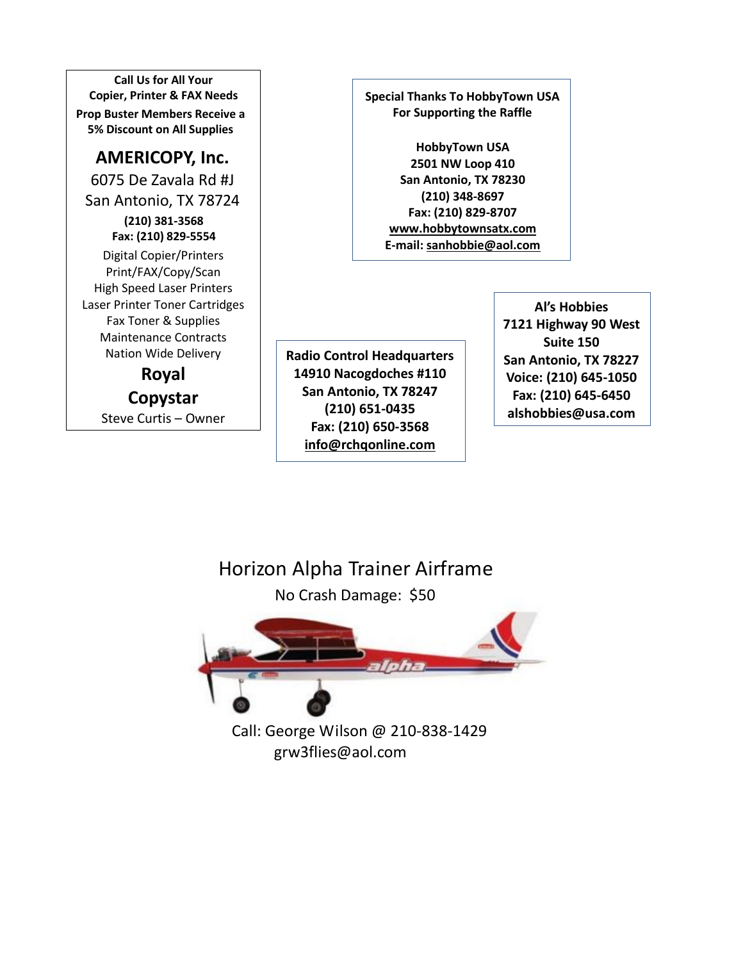**Call Us for All Your Copier, Printer & FAX Needs Prop Buster Members Receive a 5% Discount on All Supplies**

## **AMERICOPY, Inc.**

6075 De Zavala Rd #J San Antonio, TX 78724 **(210) 381-3568 Fax: (210) 829-5554** Digital Copier/Printers Print/FAX/Copy/Scan High Speed Laser Printers Laser Printer Toner Cartridges Fax Toner & Supplies Maintenance Contracts Nation Wide Delivery

> **Royal Copystar** Steve Curtis – Owner

**Special Thanks To HobbyTown USA For Supporting the Raffle**

**HobbyTown USA 2501 NW Loop 410 San Antonio, TX 78230 (210) 348-8697 Fax: (210) 829-8707 [www.hobbytownsatx.com](http://www.hobbytownsatx.com/) E-mail[: sanhobbie@aol.com](mailto:sanhobbie@aol.com)**

**Radio Control Headquarters 14910 Nacogdoches #110 San Antonio, TX 78247 (210) 651-0435 Fax: (210) 650-3568 [info@rchqonline.com](mailto:info@rchqonline.com)**

**Al's Hobbies 7121 Highway 90 West Suite 150 San Antonio, TX 78227 Voice: (210) 645-1050 Fax: (210) 645-6450 alshobbies@usa.com**

Horizon Alpha Trainer Airframe

No Crash Damage: \$50



Call: George Wilson @ 210-838-1429 grw3flies@aol.com